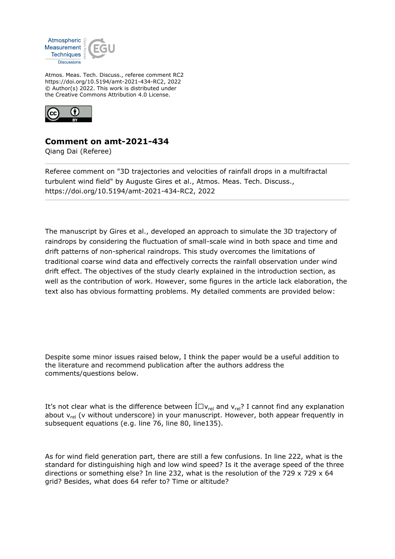

Atmos. Meas. Tech. Discuss., referee comment RC2 https://doi.org/10.5194/amt-2021-434-RC2, 2022 © Author(s) 2022. This work is distributed under the Creative Commons Attribution 4.0 License.



## **Comment on amt-2021-434**

Qiang Dai (Referee)

Referee comment on "3D trajectories and velocities of rainfall drops in a multifractal turbulent wind field" by Auguste Gires et al., Atmos. Meas. Tech. Discuss., https://doi.org/10.5194/amt-2021-434-RC2, 2022

The manuscript by Gires et al., developed an approach to simulate the 3D trajectory of raindrops by considering the fluctuation of small-scale wind in both space and time and drift patterns of non-spherical raindrops. This study overcomes the limitations of traditional coarse wind data and effectively corrects the rainfall observation under wind drift effect. The objectives of the study clearly explained in the introduction section, as well as the contribution of work. However, some figures in the article lack elaboration, the text also has obvious formatting problems. My detailed comments are provided below:

Despite some minor issues raised below, I think the paper would be a useful addition to the literature and recommend publication after the authors address the comments/questions below.

It's not clear what is the difference between  $I\Box v_{rel}$  and  $v_{rel}$ ? I cannot find any explanation about  $v_{rel}$  (v without underscore) in your manuscript. However, both appear frequently in subsequent equations (e.g. line 76, line 80, line135).

As for wind field generation part, there are still a few confusions. In line 222, what is the standard for distinguishing high and low wind speed? Is it the average speed of the three directions or something else? In line 232, what is the resolution of the 729 x 729 x 64 grid? Besides, what does 64 refer to? Time or altitude?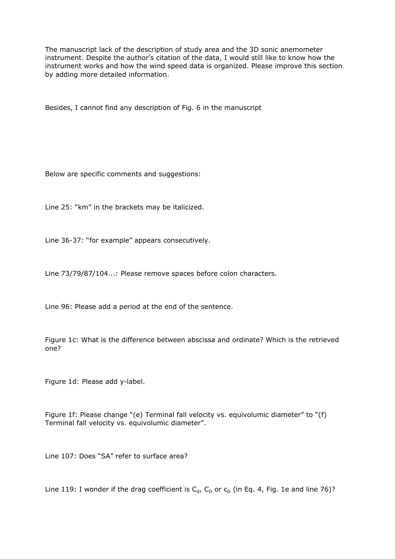The manuscript lack of the description of study area and the 3D sonic anemometer instrument. Despite the author's citation of the data, I would still like to know how the instrument works and how the wind speed data is organized. Please improve this section by adding more detailed information.

Besides, I cannot find any description of Fig. 6 in the manuscript

Below are specific comments and suggestions:

Line 25: "km" in the brackets may be italicized.

Line 36-37: "for example" appears consecutively.

Line 73/79/87/104...: Please remove spaces before colon characters.

Line 96: Please add a period at the end of the sentence.

Figure 1c: What is the difference between abscissa and ordinate? Which is the retrieved one?

Figure 1d: Please add y-label.

Figure 1f: Please change "(e) Terminal fall velocity vs. equivolumic diameter" to "(f) Terminal fall velocity vs. equivolumic diameter".

Line 107: Does "SA" refer to surface area?

Line 119: I wonder if the drag coefficient is  $C_d$ ,  $C_D$  or  $C_D$  (in Eq. 4, Fig. 1e and line 76)?